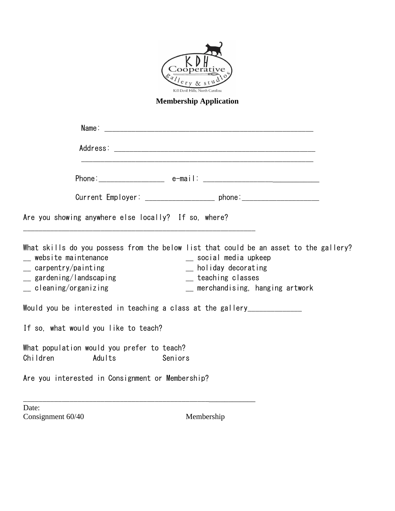

**Membership Application**

|                                                                                                                 |                                                      | Current Employer: __________________________ phone:_____________________________                                                                                                               |  |
|-----------------------------------------------------------------------------------------------------------------|------------------------------------------------------|------------------------------------------------------------------------------------------------------------------------------------------------------------------------------------------------|--|
|                                                                                                                 | Are you showing anywhere else locally? If so, where? |                                                                                                                                                                                                |  |
| _ website maintenance<br>$\equiv$ carpentry/painting<br>_ gardening/landscaping<br>$\equiv$ cleaning/organizing |                                                      | What skills do you possess from the below list that could be an asset to the gallery?<br>social media upkeep<br>_ holiday decorating<br>_ teaching classes<br>_ merchandising, hanging artwork |  |
| Would you be interested in teaching a class at the gallery____________                                          |                                                      |                                                                                                                                                                                                |  |
|                                                                                                                 | If so, what would you like to teach?                 |                                                                                                                                                                                                |  |
| What population would you prefer to teach?<br>Children<br>Adults<br>Seniors                                     |                                                      |                                                                                                                                                                                                |  |
| Are you interested in Consignment or Membership?                                                                |                                                      |                                                                                                                                                                                                |  |
| Date:<br>Consignment 60/40                                                                                      |                                                      | Membership                                                                                                                                                                                     |  |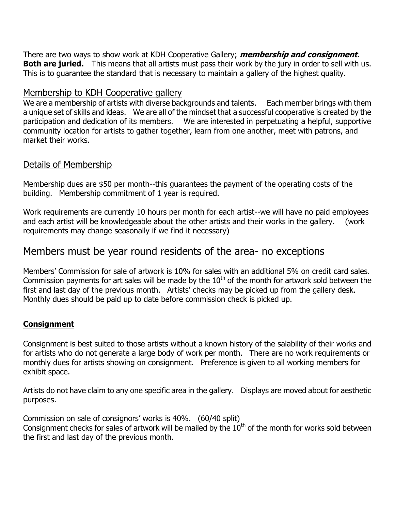There are two ways to show work at KDH Cooperative Gallery; **membership and consignment**. **Both are juried.** This means that all artists must pass their work by the jury in order to sell with us. This is to guarantee the standard that is necessary to maintain a gallery of the highest quality.

### Membership to KDH Cooperative gallery

We are a membership of artists with diverse backgrounds and talents. Each member brings with them a unique set of skills and ideas. We are all of the mindset that a successful cooperative is created by the participation and dedication of its members. We are interested in perpetuating a helpful, supportive community location for artists to gather together, learn from one another, meet with patrons, and market their works.

#### Details of Membership

Membership dues are \$50 per month--this guarantees the payment of the operating costs of the building. Membership commitment of 1 year is required.

Work requirements are currently 10 hours per month for each artist--we will have no paid employees and each artist will be knowledgeable about the other artists and their works in the gallery. (work requirements may change seasonally if we find it necessary)

## Members must be year round residents of the area- no exceptions

Members' Commission for sale of artwork is 10% for sales with an additional 5% on credit card sales. Commission payments for art sales will be made by the  $10<sup>th</sup>$  of the month for artwork sold between the first and last day of the previous month. Artists' checks may be picked up from the gallery desk. Monthly dues should be paid up to date before commission check is picked up.

#### **Consignment**

Consignment is best suited to those artists without a known history of the salability of their works and for artists who do not generate a large body of work per month. There are no work requirements or monthly dues for artists showing on consignment. Preference is given to all working members for exhibit space.

Artists do not have claim to any one specific area in the gallery. Displays are moved about for aesthetic purposes.

Commission on sale of consignors' works is 40%. (60/40 split)

Consignment checks for sales of artwork will be mailed by the  $10<sup>th</sup>$  of the month for works sold between the first and last day of the previous month.